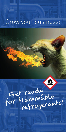# Grow your business:

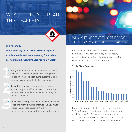# WHY SHOULD YOU READ THIS LEAFLET?



#### **In a nutshell:**

**Because many of the lower GWP refrigerants are flammable and because using flammable refrigerants directly impacts your daily work.**

1 **> First,** remember that all installers that carry out work on HFC containing stationary refrigeration, air-conditioning and heat-pump systems must be certified according to the F-Gas Regulation.

2 **> Second,** working with flammable refrigerants requires proper qualification – which is in some countries even mandatory – to ensure safety for installers and users.

3 **> Third,** next to compliance with standards, building codes and manufacturers' instructions, you must ensure that service equipment and working conditions are suitable for flammable refrigerants.

### WHY IS IT URGENT TO GET READY FOR FLAMMABLE REFRIGERANTS?

Because many of the lower GWP refrigerants are flammable. If you don't get ready for this reality, sooner or later you will not be able to deal with the consequences of the HFC phase-down!



**EU HFC Phase Down Steps**

From 2018 onwards, the EU F-Gas Regulation [EU 517/2014] creates massive cuts in the consumption of HFCs in the EU. This reduction scheme, known as the HFC phase-down, is based on a quota system. Quotas are expressed in CO $_2$  equivalent (kg x GWP).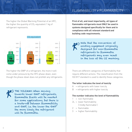### The higher the Global Warming Potential of an HFC, the higher the quantity of  $CO<sub>2</sub>$ -equivalent 1 kg of refrigerant represents.



 $CO<sub>2</sub>$  equivalent

The higher the GWP of a refrigerant, the more it will come under pressure by the HFC phase-down, even though the phase-down does not prohibit any refrigerants.



The dilemma: When moving towards lower GWP refrigerants, flammable fluids will be needed for some applications, but there is a trade-off between flammability and GWP, i.e. the lower the GWP the more likely the refrigerant will be flammable.

## FLAMMABILITY ≠ FLAMMABILITY

**First of all, and most importantly, all types of flammable refrigerants must ONLY be used in systems designed specifically for them and in compliance with all relevant standard and building code requirements.** 

Note that the conversion of existing equipment originally designed for non-flammable refrigerants to flammable refrigerants may even result in the loss of the CE marking.

There are different categories of flammability that require different actions. The classification from the ISO 817 standard is used to identify these categories.

#### **The letter indicates the level of toxicity**

- $A =$  refrigerants with lower toxicity
- $B =$  refrigerants with higher toxicity

#### **The number indicates the level of flammability**

- $=$  non-flammable
- 2L = lower flammability ('mildly flammable')
- $2 =$ flammable
- 3 = higher flammability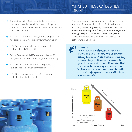# WHAT DO THESE CATEGORIES MEAN?

- **>** The vast majority of refrigerants that are currently in use are classified as A1, i.e. lower toxicity/nonflammable. For example, R-134a, R-404A and R-410A fall in this category.
- **>** R-32, R-1234yf and R-1234ze(E) are examples for A2L refrigerants, i.e. lower toxicity/lower flammability
- **>** R-152a is an example for an A2 refrigerant, i.e. lower toxicity/flammable
- **>** R-290, R-600a and R-1270 are examples for A3 refrigerants, i.e. lower toxicity/higher flammability
- **>** R-717 is an example for a B2L refrigerant, i.e. higher toxicity/lower flammability
- → R-1130(E) is an example for a B2 refrigerant, i.e. higher toxicity/flammable

There are several main parameters that characterize the level of flammability (1, 2L, 2, 3) of a refrigerant including the **burning velocity**, the **upper (UFL)** and **lower flammability limit (LFL)**, the **minimum ignition energy (MIE)** and the **heat of combustion (HOC)**. These parameters have an impact on the way the refrigerant can be used.

### EXAMPLE:

For a class 3 refrigerant such as R-290, the LFL (in kg/m3) is significantly lower and its burning velocity is much higher than for a class 2L gas. In practical terms, it means that for example in occupied spaces far higher charge sizes are possible with class 2L refrigerants than with class 3 refrigerants.



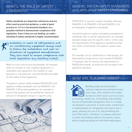### WHAT'S THE ROLE OF SAFETY STANDARDS?

**Safety standards are important references and are often used as practical guidance, a code of good practice or, if it is a harmonized standard, as a possible method to demonstrate compliance with legislation. Even if they are not binding, an understanding of safety standards is highly recommended.**

**11** Installers or users of refrigeration and air conditioning equipment always need to follow the installation and user instructions of equipment manufacturers. They also need to ensure compliance with local legislation (e.g. building codes).

When no such instructions are available, for example when an installer or user modifies equipment, or assembles own equipment, the installer or user becomes a 'manufacturer' and will therefore be liable for the safety of that equipment.

The generic system safety standard EN378:2016 and appliance safety standards such as EN60335-2-40, EN60335-2-89 provide guidelines, for example to ensure that systems do not exceed the maximum amount of refrigerant charge in a specific area.



### GENERIC SYSTEM SAFETY STANDARDS AND APPLIANCE SAFETY STANDARDS

EN378:2016 is a generic system standard, whereas EN60335-2-40, EN60335-2-89 and EN60335-2-24 are examples of appliance standards.

Sometimes generic system standards and appliance standards refer to similar requirements, for example allowed charge sizes for specific rooms. In that case, the requirements of the appliance standards prevail over what is mentioned in the generic system standard.

For example, for air conditioners or heat pumps, the flammability charge limits in the standard EN60335- 2-40 prevail. But for toxicity, the requirements of EN378:2016 prevail, as these are not included in the appliance standard.

## WHAT ARE BUILDING CODES?

Building codes are enshrined in national, regional and sometimes even local rules, often related to fire safety but also to other issues such as access

to buildings, health, etc. If a building code prohibits the use of flammable refrigerants, then it is simply not allowed to use those. In some cases, a distinction is made between 2L refrigerants and class 2 and 3 gases, allowing the use of 2L and prohibiting the use of the others. Therefore, it is always important to check the building codes for the specific region before installing equipment with flammable gases.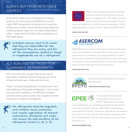# ALWAYS BUY FROM REPUTABLE **SOURCES**

As the phase-down moves forward and increases pressure on the pricing and availability of current higher GWP refrigerants, the presence of counterfeit refrigerants is likely to grow. Besides being illegal and violating property rights, this can significantly impact safety – especially in the light of the increased use of flammable gases.

that they are responsible for the refrigerant they are using, and for all the consequences related to illegal or inappropriate use of a refrigerant.

### ACT NOW AND GET READY FOR FI AMMARI F REFRIGERANTS!

Don't miss the train and get ready for the use of flammable refrigerants because they are part of the refrigerant landscape – today and tomorrow.

Proper training and qualification are essential for the safe handling of flammable refrigerants – and in some countries even mandatory. The EN13313 standard provides useful guidance about the competence levels required for all types of refrigerants.

All refrigerants must be respected, and common sense, awareness, and careful application of relevant instructions, standards and codes will ensure the safe handling of all refrigerant classes (1, 2L, 2, 3). Installers always need to be aware<br>that they are responsible for the<br>refrigerant they are using, and for<br>all the consequences related to ille<br>or inappropriate use of a refrigeral<br>ACT NOW AND GET READY FOR<br>FLAMMABLE REFRIGE



AREA is the European association of refrigeration, air conditioning and heat pump contractors. Established in 1989, AREA voices the interests of 25 national associations from 22

countries representing 13,000 companies employing 110,000 people and with an annual turnover approaching € 23 billion.

**www.area-eur.be**



ASERCOM, the Association of European Component Manufacturers is the platform for dealing with scientific and technical topics and their challenges, promoting standards for performance rating, methods of testing and product safety, focusing on improved environmental protection, serving the refrigeration and air conditioning industry and its customers.

**www.asercom.org** 



Representing the European Fluorocarbons Manufacturers.

#### **www.fluorocarbons.org**



The European Partnership for Energy and the Environment (EPEE) represents the interests

of the refrigeration, air-conditioning and heat pump industry in Europe. Founded in the year 2000, EPEE's membership is composed of 48 member companies, national and international associations from Europe, the USA and Asia, employing more than 200,000 people in Europe and realising a turnover of over 30 billion Euro.

**www.epeeglobal.org**